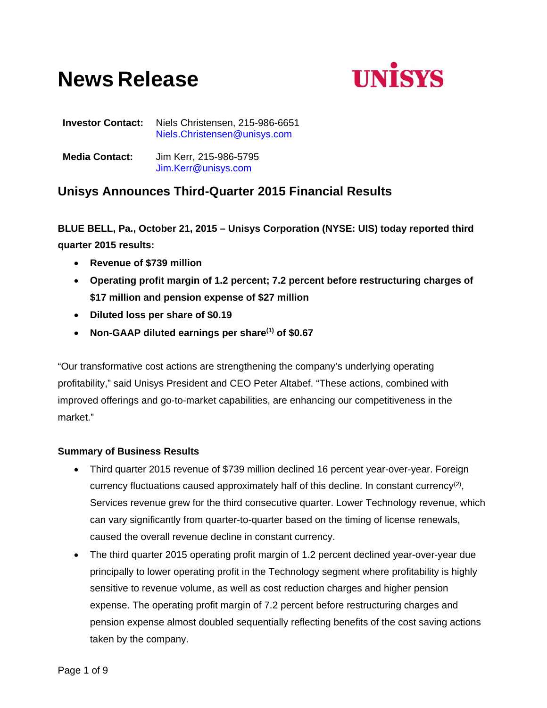# **News Release**



**Investor Contact:** Niels Christensen, 215-986-6651 Niels.Christensen@unisys.com

**Media Contact:** Jim Kerr, 215-986-5795 Jim.Kerr@unisys.com

# **Unisys Announces Third-Quarter 2015 Financial Results**

**BLUE BELL, Pa., October 21, 2015 – Unisys Corporation (NYSE: UIS) today reported third quarter 2015 results:** 

- **Revenue of \$739 million**
- **Operating profit margin of 1.2 percent; 7.2 percent before restructuring charges of \$17 million and pension expense of \$27 million**
- **Diluted loss per share of \$0.19**
- **Non-GAAP diluted earnings per share(1) of \$0.67**

"Our transformative cost actions are strengthening the company's underlying operating profitability," said Unisys President and CEO Peter Altabef. "These actions, combined with improved offerings and go-to-market capabilities, are enhancing our competitiveness in the market."

# **Summary of Business Results**

- Third quarter 2015 revenue of \$739 million declined 16 percent year-over-year. Foreign currency fluctuations caused approximately half of this decline. In constant currency<sup>(2)</sup>, Services revenue grew for the third consecutive quarter. Lower Technology revenue, which can vary significantly from quarter-to-quarter based on the timing of license renewals, caused the overall revenue decline in constant currency.
- The third quarter 2015 operating profit margin of 1.2 percent declined year-over-year due principally to lower operating profit in the Technology segment where profitability is highly sensitive to revenue volume, as well as cost reduction charges and higher pension expense. The operating profit margin of 7.2 percent before restructuring charges and pension expense almost doubled sequentially reflecting benefits of the cost saving actions taken by the company.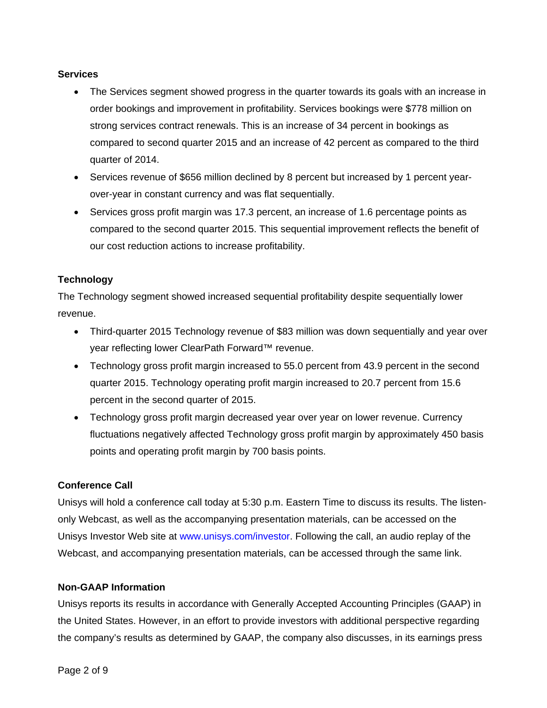#### **Services**

- The Services segment showed progress in the quarter towards its goals with an increase in order bookings and improvement in profitability. Services bookings were \$778 million on strong services contract renewals. This is an increase of 34 percent in bookings as compared to second quarter 2015 and an increase of 42 percent as compared to the third quarter of 2014.
- Services revenue of \$656 million declined by 8 percent but increased by 1 percent yearover-year in constant currency and was flat sequentially.
- Services gross profit margin was 17.3 percent, an increase of 1.6 percentage points as compared to the second quarter 2015. This sequential improvement reflects the benefit of our cost reduction actions to increase profitability.

# **Technology**

The Technology segment showed increased sequential profitability despite sequentially lower revenue.

- Third-quarter 2015 Technology revenue of \$83 million was down sequentially and year over year reflecting lower ClearPath Forward™ revenue.
- Technology gross profit margin increased to 55.0 percent from 43.9 percent in the second quarter 2015. Technology operating profit margin increased to 20.7 percent from 15.6 percent in the second quarter of 2015.
- Technology gross profit margin decreased year over year on lower revenue. Currency fluctuations negatively affected Technology gross profit margin by approximately 450 basis points and operating profit margin by 700 basis points.

# **Conference Call**

Unisys will hold a conference call today at 5:30 p.m. Eastern Time to discuss its results. The listenonly Webcast, as well as the accompanying presentation materials, can be accessed on the Unisys Investor Web site at www.unisys.com/investor. Following the call, an audio replay of the Webcast, and accompanying presentation materials, can be accessed through the same link.

#### **Non-GAAP Information**

Unisys reports its results in accordance with Generally Accepted Accounting Principles (GAAP) in the United States. However, in an effort to provide investors with additional perspective regarding the company's results as determined by GAAP, the company also discusses, in its earnings press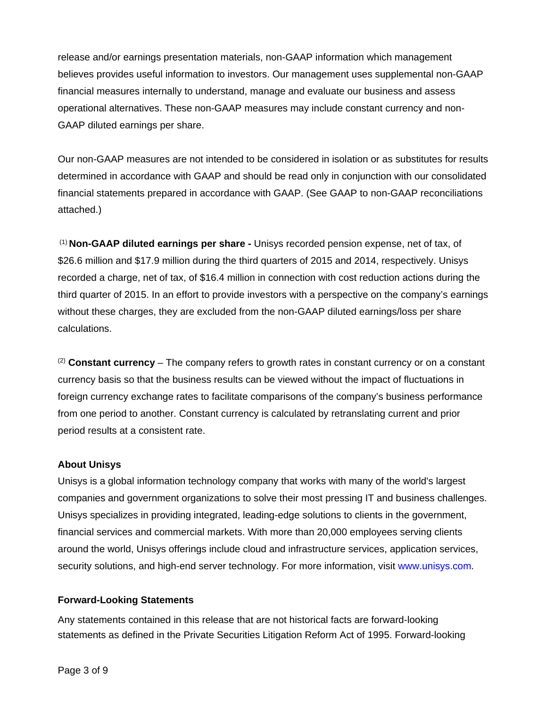release and/or earnings presentation materials, non-GAAP information which management believes provides useful information to investors. Our management uses supplemental non-GAAP financial measures internally to understand, manage and evaluate our business and assess operational alternatives. These non-GAAP measures may include constant currency and non-GAAP diluted earnings per share.

Our non-GAAP measures are not intended to be considered in isolation or as substitutes for results determined in accordance with GAAP and should be read only in conjunction with our consolidated financial statements prepared in accordance with GAAP. (See GAAP to non-GAAP reconciliations attached.)

 (1) **Non-GAAP diluted earnings per share -** Unisys recorded pension expense, net of tax, of \$26.6 million and \$17.9 million during the third quarters of 2015 and 2014, respectively. Unisys recorded a charge, net of tax, of \$16.4 million in connection with cost reduction actions during the third quarter of 2015. In an effort to provide investors with a perspective on the company's earnings without these charges, they are excluded from the non-GAAP diluted earnings/loss per share calculations.

(2) **Constant currency** – The company refers to growth rates in constant currency or on a constant currency basis so that the business results can be viewed without the impact of fluctuations in foreign currency exchange rates to facilitate comparisons of the company's business performance from one period to another. Constant currency is calculated by retranslating current and prior period results at a consistent rate.

#### **About Unisys**

Unisys is a global information technology company that works with many of the world's largest companies and government organizations to solve their most pressing IT and business challenges. Unisys specializes in providing integrated, leading-edge solutions to clients in the government, financial services and commercial markets. With more than 20,000 employees serving clients around the world, Unisys offerings include cloud and infrastructure services, application services, security solutions, and high-end server technology. For more information, visit www.unisys.com.

# **Forward-Looking Statements**

Any statements contained in this release that are not historical facts are forward-looking statements as defined in the Private Securities Litigation Reform Act of 1995. Forward-looking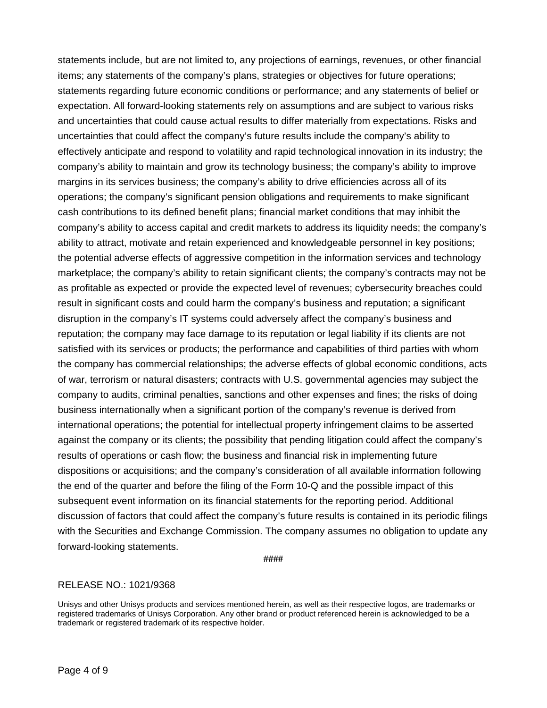statements include, but are not limited to, any projections of earnings, revenues, or other financial items; any statements of the company's plans, strategies or objectives for future operations; statements regarding future economic conditions or performance; and any statements of belief or expectation. All forward-looking statements rely on assumptions and are subject to various risks and uncertainties that could cause actual results to differ materially from expectations. Risks and uncertainties that could affect the company's future results include the company's ability to effectively anticipate and respond to volatility and rapid technological innovation in its industry; the company's ability to maintain and grow its technology business; the company's ability to improve margins in its services business; the company's ability to drive efficiencies across all of its operations; the company's significant pension obligations and requirements to make significant cash contributions to its defined benefit plans; financial market conditions that may inhibit the company's ability to access capital and credit markets to address its liquidity needs; the company's ability to attract, motivate and retain experienced and knowledgeable personnel in key positions; the potential adverse effects of aggressive competition in the information services and technology marketplace; the company's ability to retain significant clients; the company's contracts may not be as profitable as expected or provide the expected level of revenues; cybersecurity breaches could result in significant costs and could harm the company's business and reputation; a significant disruption in the company's IT systems could adversely affect the company's business and reputation; the company may face damage to its reputation or legal liability if its clients are not satisfied with its services or products; the performance and capabilities of third parties with whom the company has commercial relationships; the adverse effects of global economic conditions, acts of war, terrorism or natural disasters; contracts with U.S. governmental agencies may subject the company to audits, criminal penalties, sanctions and other expenses and fines; the risks of doing business internationally when a significant portion of the company's revenue is derived from international operations; the potential for intellectual property infringement claims to be asserted against the company or its clients; the possibility that pending litigation could affect the company's results of operations or cash flow; the business and financial risk in implementing future dispositions or acquisitions; and the company's consideration of all available information following the end of the quarter and before the filing of the Form 10-Q and the possible impact of this subsequent event information on its financial statements for the reporting period. Additional discussion of factors that could affect the company's future results is contained in its periodic filings with the Securities and Exchange Commission. The company assumes no obligation to update any forward-looking statements.

**####** 

# RELEASE NO.: 1021/9368

Unisys and other Unisys products and services mentioned herein, as well as their respective logos, are trademarks or registered trademarks of Unisys Corporation. Any other brand or product referenced herein is acknowledged to be a trademark or registered trademark of its respective holder.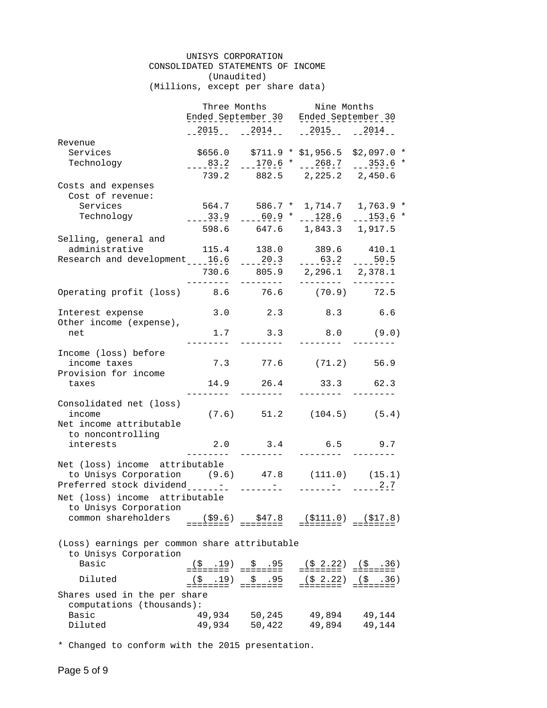#### UNISYS CORPORATION CONSOLIDATED STATEMENTS OF INCOME (Unaudited) (Millions, except per share data)

|                                                                        | Three Months <b>Nine Months</b>       |                   |                                |                                         |  |
|------------------------------------------------------------------------|---------------------------------------|-------------------|--------------------------------|-----------------------------------------|--|
|                                                                        | Ended September 30 Ended September 30 |                   |                                |                                         |  |
|                                                                        |                                       | 2015 2014         | 2015 2014                      |                                         |  |
| Revenue                                                                |                                       |                   |                                |                                         |  |
| Services                                                               |                                       |                   |                                | $$656.0$ $$711.9 * $1,956.5 $2,097.0 *$ |  |
| Technology                                                             | $         -$                          |                   |                                | $-170.6$ * $-268.7$ $-353.6$ *          |  |
|                                                                        |                                       |                   | 739.2 882.5 2,225.2 2,450.6    |                                         |  |
| Costs and expenses                                                     |                                       |                   |                                |                                         |  |
| Cost of revenue:                                                       |                                       |                   |                                |                                         |  |
| Services                                                               |                                       |                   |                                | 564.7 586.7 * 1,714.7 1,763.9 *         |  |
| Technology                                                             | $---33.9$                             |                   |                                | $ -60.9$ * $ 128.6$ $ 153.6$ *          |  |
|                                                                        |                                       |                   | 598.6 647.6 1,843.3 1,917.5    |                                         |  |
| Selling, general and                                                   |                                       |                   |                                |                                         |  |
| administrative                                                         | 115.4                                 | 138.0             |                                | 389.6 410.1                             |  |
| Research and development <sub>____16.6</sub>                           |                                       |                   | $-20.3$ $-63.2$ $-150.5$       |                                         |  |
|                                                                        |                                       |                   | 730.6 805.9 2,296.1 2,378.1    |                                         |  |
|                                                                        |                                       |                   |                                |                                         |  |
| Operating profit (loss) 8.6 76.6 (70.9) 72.5                           |                                       |                   |                                |                                         |  |
| Interest expense                                                       |                                       |                   | $3.0$ $2.3$ $8.3$              | 6.6                                     |  |
| Other income (expense),                                                |                                       |                   |                                |                                         |  |
| net                                                                    | 1.7                                   | 3.3               |                                | $8.0$ (9.0)                             |  |
| Income (loss) before                                                   |                                       |                   |                                |                                         |  |
| income taxes                                                           |                                       |                   | 7.3 77.6 (71.2) 56.9           |                                         |  |
| Provision for income                                                   |                                       |                   |                                |                                         |  |
| taxes                                                                  | 14.9                                  | 26.4<br>--------- | 33.3 62.3                      |                                         |  |
| Consolidated net (loss)                                                |                                       |                   |                                |                                         |  |
| income                                                                 |                                       |                   | $(7.6)$ 51.2 $(104.5)$ $(5.4)$ |                                         |  |
| Net income attributable                                                |                                       |                   |                                |                                         |  |
| to noncontrolling                                                      |                                       |                   |                                |                                         |  |
| interests                                                              |                                       |                   | 2.0 3.4 6.5 9.7                |                                         |  |
| Net (loss) income attributable                                         | $- - - - -$                           | ---------         | ---------                      |                                         |  |
| to Unisys Corporation (9.6) 47.8 (111.0) (15.1)                        |                                       |                   |                                |                                         |  |
|                                                                        |                                       |                   |                                |                                         |  |
| Net (loss) income attributable                                         |                                       |                   |                                |                                         |  |
| to Unisys Corporation                                                  |                                       |                   |                                |                                         |  |
| common shareholders                                                    | (S9.6)                                | \$47.8            | (\$111.0)                      | (S17.8)                                 |  |
|                                                                        | ========                              | ========          | ========                       |                                         |  |
|                                                                        |                                       |                   |                                |                                         |  |
| (Loss) earnings per common share attributable<br>to Unisys Corporation |                                       |                   |                                |                                         |  |
| Basic                                                                  | $($ \$.19)                            | \$30.95           |                                |                                         |  |
|                                                                        |                                       | ========          |                                |                                         |  |
| Diluted                                                                | (S, 19)<br>========                   | \$.95<br>======== | (5, 2.22)<br>========          | (5, .36)                                |  |
| Shares used in the per share                                           |                                       |                   |                                |                                         |  |
| computations (thousands):                                              |                                       |                   |                                |                                         |  |
| Basic                                                                  | 49,934                                | 50,245            | 49,894                         | 49,144                                  |  |
| Diluted                                                                | 49,934                                | 50,422            | 49,894                         | 49,144                                  |  |

\* Changed to conform with the 2015 presentation.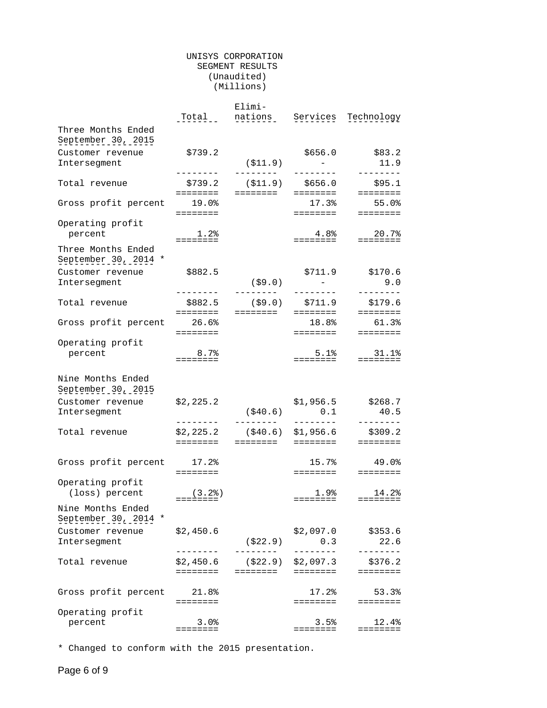#### UNISYS CORPORATION SEGMENT RESULTS (Unaudited) (Millions)

|                                            |                             | Elimi-                 |                                                                   |                                                                         |
|--------------------------------------------|-----------------------------|------------------------|-------------------------------------------------------------------|-------------------------------------------------------------------------|
|                                            | Total                       | nations                | Services                                                          | Technology                                                              |
| Three Months Ended<br>September 30, 2015   |                             |                        |                                                                   |                                                                         |
|                                            |                             |                        |                                                                   |                                                                         |
| Customer revenue                           | \$739.2                     |                        | \$656.0                                                           | \$83.2                                                                  |
| Intersegment                               | --------                    | ( \$11.9)<br>--------- | $\mathcal{L}^{\mathcal{L}}(\mathcal{L}^{\mathcal{L}})$<br>_______ | 11.9<br>--------                                                        |
| Total revenue                              | \$739.2                     | $( $11.9)$ $ $656.0$   |                                                                   | \$95.1                                                                  |
|                                            | ========                    | ========               | ========                                                          | ========                                                                |
| Gross profit percent                       | 19.0%                       |                        | 17.3%                                                             | 55.0%                                                                   |
|                                            | ========                    |                        | ========                                                          | <b>EEEEEEE</b>                                                          |
| Operating profit                           |                             |                        |                                                                   |                                                                         |
| percent                                    | 1.2%                        |                        | $4.8\%$                                                           | 20.7%                                                                   |
|                                            | ========                    |                        | ========                                                          | $\qquad \qquad \equiv \equiv \equiv \equiv \equiv \equiv \equiv \equiv$ |
| Three Months Ended<br>September 30, 2014 * |                             |                        |                                                                   |                                                                         |
| Customer revenue                           | \$882.5                     |                        | \$711.9                                                           | \$170.6                                                                 |
| Intersegment                               |                             | (\$9.0)                | $\sim 10^{-10}$ m $^{-1}$                                         | 9.0                                                                     |
|                                            | --------                    | ---------              |                                                                   | --------                                                                |
| Total revenue                              | \$882.5                     |                        | (\$9.0) \$711.9                                                   | \$179.6                                                                 |
|                                            | ========                    | ========               | ========                                                          | ========<br>61.3%                                                       |
| Gross profit percent                       | 26.6%                       |                        | 18.8%                                                             |                                                                         |
| Operating profit                           | ========                    |                        | ========                                                          | ========                                                                |
| percent                                    | $8.7\%$                     |                        | 5.1%                                                              | 31.1%                                                                   |
|                                            | ========                    |                        | ========                                                          | $\qquad \qquad \equiv \equiv \equiv \equiv \equiv \equiv \equiv \equiv$ |
| Nine Months Ended<br>September 30, 2015    |                             |                        |                                                                   |                                                                         |
| Customer revenue                           | \$2,225.2                   |                        | \$1,956.5                                                         | \$268.7                                                                 |
| Intersegment                               |                             | (\$40.6)               | 0.1                                                               | 40.5                                                                    |
|                                            | ---------                   | ---------              | <u>________</u>                                                   | --------                                                                |
| Total revenue                              | \$2,225.2                   | ( \$40.6)              | \$1,956.6                                                         | \$309.2                                                                 |
|                                            | ========                    | ========               | ========                                                          | $=$ = = = = = = =                                                       |
| Gross profit percent                       | $17.2$ $8$                  |                        | 15.7%                                                             | 49.0%                                                                   |
|                                            | ========                    |                        | ========                                                          | $\qquad \qquad \equiv \equiv \equiv \equiv \equiv \equiv \equiv \equiv$ |
| Operating profit                           |                             |                        |                                                                   |                                                                         |
| (loss) percent                             | (3.2)                       |                        | 1.9%                                                              | 14.2%                                                                   |
| Nine Months Ended                          | ========                    |                        | ========                                                          | $=$ = = = = = = =                                                       |
| September 30, 2014                         |                             |                        |                                                                   |                                                                         |
| Customer revenue                           | \$2,450.6                   |                        | \$2,097.0                                                         | \$353.6                                                                 |
| Intersegment                               |                             | ( \$22.9)              | 0.3                                                               | 22.6                                                                    |
|                                            | $- - - - - -$               | ------                 |                                                                   | $- - - - -$                                                             |
| Total revenue                              | \$2,450.6                   | ( \$22.9)              | \$2,097.3                                                         | \$376.2                                                                 |
|                                            | $=$ $=$ $=$ $=$ $=$ $=$ $=$ | ========               | ========                                                          | ========                                                                |
|                                            |                             |                        |                                                                   |                                                                         |
| Gross profit percent                       | 21.8%                       |                        | 17.2%                                                             | 53.3%                                                                   |
|                                            | $=$ = = = = = = =           |                        | ========                                                          | $=$ $=$ $=$ $=$ $=$ $=$ $=$                                             |
| Operating profit                           |                             |                        |                                                                   |                                                                         |
| percent                                    | 3.0%<br>========            |                        | 3.5%<br>========                                                  | 12.4%<br>========                                                       |
|                                            |                             |                        |                                                                   |                                                                         |

\* Changed to conform with the 2015 presentation.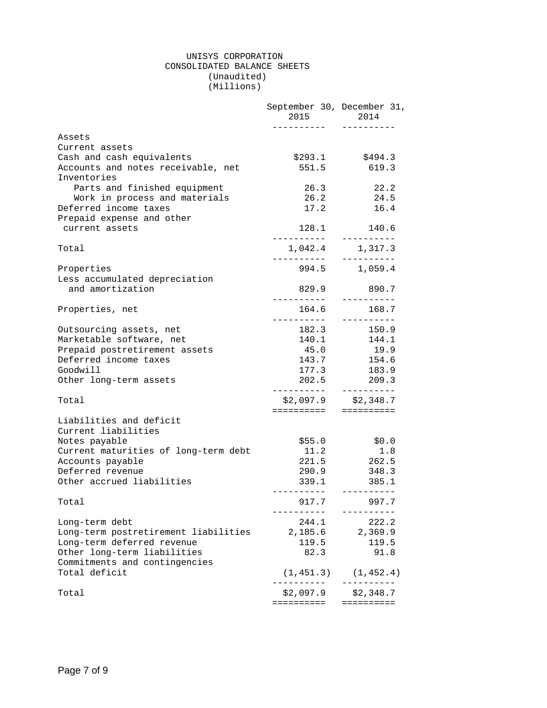#### UNISYS CORPORATION CONSOLIDATED BALANCE SHEETS (Unaudited) (Millions)

|                                                | September 30, December 31,<br>2015 — 2015<br>. <u>.</u> | 2014<br>----------                      |
|------------------------------------------------|---------------------------------------------------------|-----------------------------------------|
| Assets                                         |                                                         |                                         |
| Current assets                                 |                                                         |                                         |
| Cash and cash equivalents                      | \$293.1                                                 | \$494.3                                 |
| Accounts and notes receivable, net             | 551.5                                                   | 619.3                                   |
| Inventories                                    |                                                         |                                         |
| Parts and finished equipment                   | 26.3                                                    | 22.2                                    |
| Work in process and materials                  | 26.2                                                    | 24.5                                    |
| Deferred income taxes                          | 17.2                                                    | 16.4                                    |
| Prepaid expense and other                      |                                                         |                                         |
| current assets                                 |                                                         | 128.1 140.6                             |
|                                                |                                                         | -----------                             |
| Total                                          | 1,042.4 1,317.3                                         |                                         |
|                                                | _ _ _ _ _ _ _ _ _ _                                     |                                         |
| Properties                                     |                                                         | 994.5 1,059.4                           |
| Less accumulated depreciation                  |                                                         |                                         |
| and amortization                               | 829.9                                                   | 890.7                                   |
|                                                |                                                         | ----------                              |
| Properties, net                                | 164.6                                                   | 168.7                                   |
|                                                |                                                         |                                         |
| Outsourcing assets, net                        | 182.3                                                   | 150.9                                   |
| Marketable software, net                       |                                                         |                                         |
| Prepaid postretirement assets                  | 45.0                                                    | 19.9                                    |
| Deferred income taxes                          | 143.7                                                   | 154.6                                   |
| Goodwill                                       | 177.3                                                   | 183.9                                   |
| Other long-term assets                         |                                                         | 202.5 209.3                             |
|                                                |                                                         |                                         |
| Total                                          |                                                         | $$2,097.9$ $$2,348.7$                   |
|                                                | =====================                                   |                                         |
| Liabilities and deficit<br>Current liabilities |                                                         |                                         |
| Notes payable                                  | \$55.0                                                  | \$0.0                                   |
| Current maturities of long-term debt           | 11.2                                                    | 1.8                                     |
| Accounts payable                               | 221.5                                                   | 262.5                                   |
| Deferred revenue                               | 290.9                                                   | 348.3                                   |
| Other accrued liabilities                      | 339.1                                                   | 385.1                                   |
| Total                                          | 917.7                                                   | ----------<br>997.7                     |
| Long-term debt                                 | 244.1                                                   | 222.2                                   |
| Long-term postretirement liabilities           | 2,185.6                                                 | 2,369.9                                 |
| Long-term deferred revenue                     | 119.5                                                   | 119.5                                   |
| Other long-term liabilities                    | 82.3                                                    | 91.8                                    |
| Commitments and contingencies                  |                                                         |                                         |
| Total deficit                                  |                                                         | $(1, 451.3)$ $(1, 452.4)$<br>---------- |
| Total                                          | . <u>.</u> .<br>\$2,097.9                               | \$2,348.7                               |
|                                                | ==========                                              | ==========                              |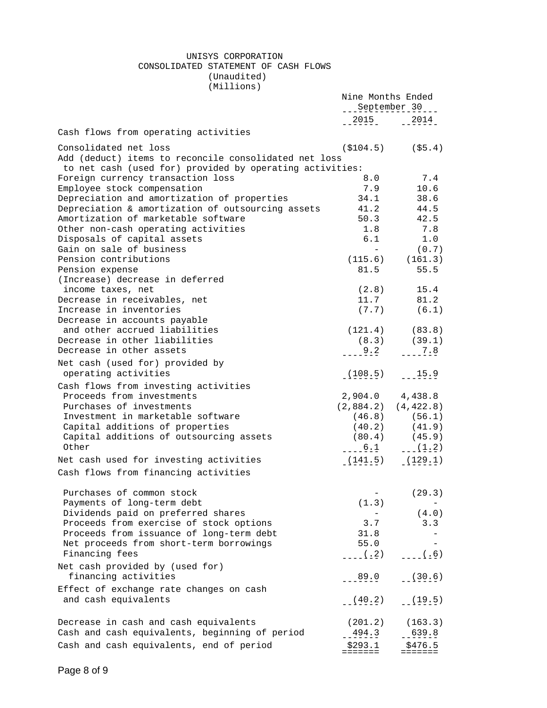#### UNISYS CORPORATION CONSOLIDATED STATEMENT OF CASH FLOWS (Unaudited) (Millions)

|                                                                                                                   | Nine Months Ended<br>___September 30 |                         |
|-------------------------------------------------------------------------------------------------------------------|--------------------------------------|-------------------------|
|                                                                                                                   |                                      | $-2015 - 2014$          |
| Cash flows from operating activities                                                                              |                                      |                         |
|                                                                                                                   |                                      |                         |
| Consolidated net loss                                                                                             |                                      | $(\$104.5)$ $(\$5.4)$   |
| Add (deduct) items to reconcile consolidated net loss<br>to net cash (used for) provided by operating activities: |                                      |                         |
| Foreign currency transaction loss                                                                                 | 8.0                                  | 7.4                     |
| Employee stock compensation                                                                                       | 7.9                                  | 10.6                    |
| Depreciation and amortization of properties                                                                       | 34.1                                 | 38.6                    |
| Depreciation & amortization of outsourcing assets                                                                 | 41.2                                 | 44.5                    |
| Amortization of marketable software                                                                               | 50.3                                 | 42.5                    |
| Other non-cash operating activities                                                                               | 1.8                                  | 7.8                     |
| Disposals of capital assets                                                                                       | 6.1                                  | 1.0                     |
| Gain on sale of business                                                                                          | $\sim 100$ m $^{-1}$                 | (0.7)                   |
| Pension contributions                                                                                             |                                      | $(115.6)$ $(161.3)$     |
| Pension expense                                                                                                   | 81.5                                 | 55.5                    |
| (Increase) decrease in deferred                                                                                   |                                      |                         |
| income taxes, net                                                                                                 |                                      | $(2.8)$ 15.4            |
| Decrease in receivables, net                                                                                      |                                      | 11.7 81.2               |
| Increase in inventories                                                                                           |                                      | $(7.7)$ $(6.1)$         |
| Decrease in accounts payable                                                                                      |                                      |                         |
| and other accrued liabilities                                                                                     |                                      | $(121.4)$ $(83.8)$      |
| Decrease in other liabilities                                                                                     |                                      | $(8.3)$ $(39.1)$        |
| Decrease in other assets                                                                                          | $  9 \cdot 2$                        | 7.8                     |
| Net cash (used for) provided by                                                                                   |                                      |                         |
| operating activities                                                                                              |                                      | $(108.5)$ $-15.9$       |
| Cash flows from investing activities                                                                              |                                      |                         |
| Proceeds from investments                                                                                         |                                      | 2,904.0 4,438.8         |
| Purchases of investments                                                                                          |                                      | $(2,884.2)$ $(4,422.8)$ |
| Investment in marketable software                                                                                 |                                      | $(46.8)$ $(56.1)$       |
| Capital additions of properties                                                                                   | (40.2)                               | (41.9)                  |
| Capital additions of outsourcing assets                                                                           |                                      | $(80.4)$ $(45.9)$       |
| Other                                                                                                             | $-6.1$                               | $-(-1.2)$               |
| Net cash used for investing activities                                                                            | (141.5)                              | (129.1)                 |
|                                                                                                                   |                                      |                         |
| Cash flows from financing activities                                                                              |                                      |                         |
| Purchases of common stock                                                                                         |                                      | (29.3)                  |
| Payments of long-term debt                                                                                        | (1.3)                                |                         |
| Dividends paid on preferred shares                                                                                |                                      | (4.0)                   |
| Proceeds from exercise of stock options                                                                           | 3.7                                  | 3.3                     |
| Proceeds from issuance of long-term debt                                                                          | 31.8                                 |                         |
| Net proceeds from short-term borrowings                                                                           | 55.0                                 |                         |
| Financing fees                                                                                                    | (.2)                                 | (.6)                    |
| Net cash provided by (used for)                                                                                   |                                      |                         |
| financing activities                                                                                              | 89.0                                 | (30.6)                  |
|                                                                                                                   |                                      |                         |
| Effect of exchange rate changes on cash                                                                           |                                      |                         |
| and cash equivalents                                                                                              | (40.2)                               | (19.5)                  |
|                                                                                                                   |                                      |                         |
| Decrease in cash and cash equivalents                                                                             | (201.2)                              | (163.3)                 |
| Cash and cash equivalents, beginning of period                                                                    | 494.3                                | 639.8                   |
| Cash and cash equivalents, end of period                                                                          | \$293.1                              | \$476.5                 |